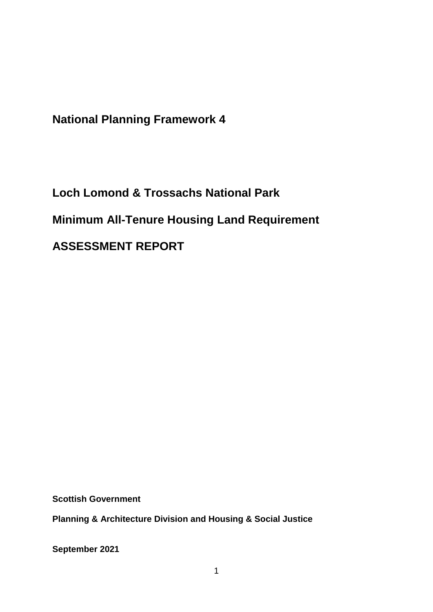**National Planning Framework 4**

**Loch Lomond & Trossachs National Park Minimum All-Tenure Housing Land Requirement ASSESSMENT REPORT**

**Scottish Government**

**Planning & Architecture Division and Housing & Social Justice** 

**September 2021**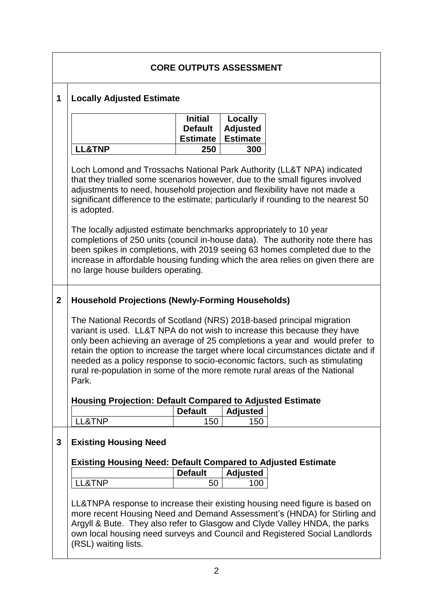|             | <b>CORE OUTPUTS ASSESSMENT</b>                                                                                                                                                                                                                                                                                                                                                                                                                                                             |                                                     |                                               |  |  |  |
|-------------|--------------------------------------------------------------------------------------------------------------------------------------------------------------------------------------------------------------------------------------------------------------------------------------------------------------------------------------------------------------------------------------------------------------------------------------------------------------------------------------------|-----------------------------------------------------|-----------------------------------------------|--|--|--|
| 1           | <b>Locally Adjusted Estimate</b>                                                                                                                                                                                                                                                                                                                                                                                                                                                           |                                                     |                                               |  |  |  |
|             |                                                                                                                                                                                                                                                                                                                                                                                                                                                                                            | <b>Initial</b><br><b>Default</b><br><b>Estimate</b> | Locally<br><b>Adjusted</b><br><b>Estimate</b> |  |  |  |
|             | <b>LL&amp;TNP</b>                                                                                                                                                                                                                                                                                                                                                                                                                                                                          | 250                                                 | 300                                           |  |  |  |
|             | Loch Lomond and Trossachs National Park Authority (LL&T NPA) indicated<br>that they trialled some scenarios however, due to the small figures involved<br>adjustments to need, household projection and flexibility have not made a<br>significant difference to the estimate; particularly if rounding to the nearest 50<br>is adopted.                                                                                                                                                   |                                                     |                                               |  |  |  |
|             | The locally adjusted estimate benchmarks appropriately to 10 year<br>completions of 250 units (council in-house data). The authority note there has<br>been spikes in completions, with 2019 seeing 63 homes completed due to the<br>increase in affordable housing funding which the area relies on given there are<br>no large house builders operating.                                                                                                                                 |                                                     |                                               |  |  |  |
| $\mathbf 2$ | <b>Household Projections (Newly-Forming Households)</b>                                                                                                                                                                                                                                                                                                                                                                                                                                    |                                                     |                                               |  |  |  |
|             | The National Records of Scotland (NRS) 2018-based principal migration<br>variant is used. LL&T NPA do not wish to increase this because they have<br>only been achieving an average of 25 completions a year and would prefer to<br>retain the option to increase the target where local circumstances dictate and if<br>needed as a policy response to socio-economic factors, such as stimulating<br>rural re-population in some of the more remote rural areas of the National<br>Park. |                                                     |                                               |  |  |  |
|             | <b>Housing Projection: Default Compared to Adjusted Estimate</b>                                                                                                                                                                                                                                                                                                                                                                                                                           |                                                     |                                               |  |  |  |
|             |                                                                                                                                                                                                                                                                                                                                                                                                                                                                                            | <b>Default</b>                                      | <b>Adjusted</b>                               |  |  |  |
|             | LL&TNP                                                                                                                                                                                                                                                                                                                                                                                                                                                                                     | 150                                                 | 150                                           |  |  |  |
| 3           | <b>Existing Housing Need</b>                                                                                                                                                                                                                                                                                                                                                                                                                                                               |                                                     |                                               |  |  |  |
|             | <b>Existing Housing Need: Default Compared to Adjusted Estimate</b>                                                                                                                                                                                                                                                                                                                                                                                                                        |                                                     |                                               |  |  |  |
|             | LL&TNP                                                                                                                                                                                                                                                                                                                                                                                                                                                                                     | <b>Default</b><br>50                                | <b>Adjusted</b><br>100                        |  |  |  |
|             | LL&TNPA response to increase their existing housing need figure is based on<br>more recent Housing Need and Demand Assessment's (HNDA) for Stirling and<br>Argyll & Bute. They also refer to Glasgow and Clyde Valley HNDA, the parks<br>own local housing need surveys and Council and Registered Social Landlords<br>(RSL) waiting lists.                                                                                                                                                |                                                     |                                               |  |  |  |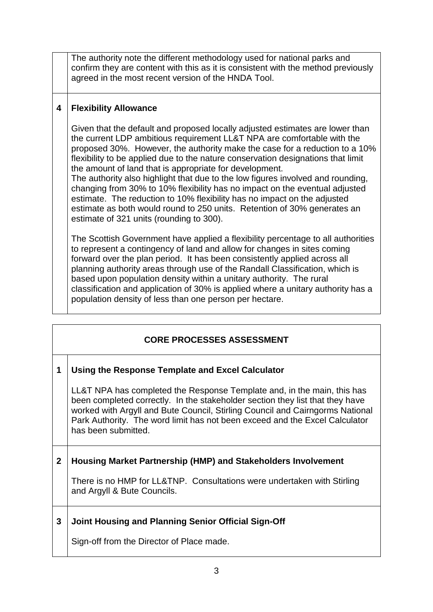The authority note the different methodology used for national parks and confirm they are content with this as it is consistent with the method previously agreed in the most recent version of the HNDA Tool.

### **4 Flexibility Allowance**

Given that the default and proposed locally adjusted estimates are lower than the current LDP ambitious requirement LL&T NPA are comfortable with the proposed 30%. However, the authority make the case for a reduction to a 10% flexibility to be applied due to the nature conservation designations that limit the amount of land that is appropriate for development.

The authority also highlight that due to the low figures involved and rounding, changing from 30% to 10% flexibility has no impact on the eventual adjusted estimate. The reduction to 10% flexibility has no impact on the adjusted estimate as both would round to 250 units. Retention of 30% generates an estimate of 321 units (rounding to 300).

The Scottish Government have applied a flexibility percentage to all authorities to represent a contingency of land and allow for changes in sites coming forward over the plan period. It has been consistently applied across all planning authority areas through use of the Randall Classification, which is based upon population density within a unitary authority. The rural classification and application of 30% is applied where a unitary authority has a population density of less than one person per hectare.

# **CORE PROCESSES ASSESSMENT**

#### **1 Using the Response Template and Excel Calculator**

LL&T NPA has completed the Response Template and, in the main, this has been completed correctly. In the stakeholder section they list that they have worked with Argyll and Bute Council, Stirling Council and Cairngorms National Park Authority. The word limit has not been exceed and the Excel Calculator has been submitted.

#### **2 Housing Market Partnership (HMP) and Stakeholders Involvement**

There is no HMP for LL&TNP. Consultations were undertaken with Stirling and Argyll & Bute Councils.

# **3 Joint Housing and Planning Senior Official Sign-Off**

Sign-off from the Director of Place made.